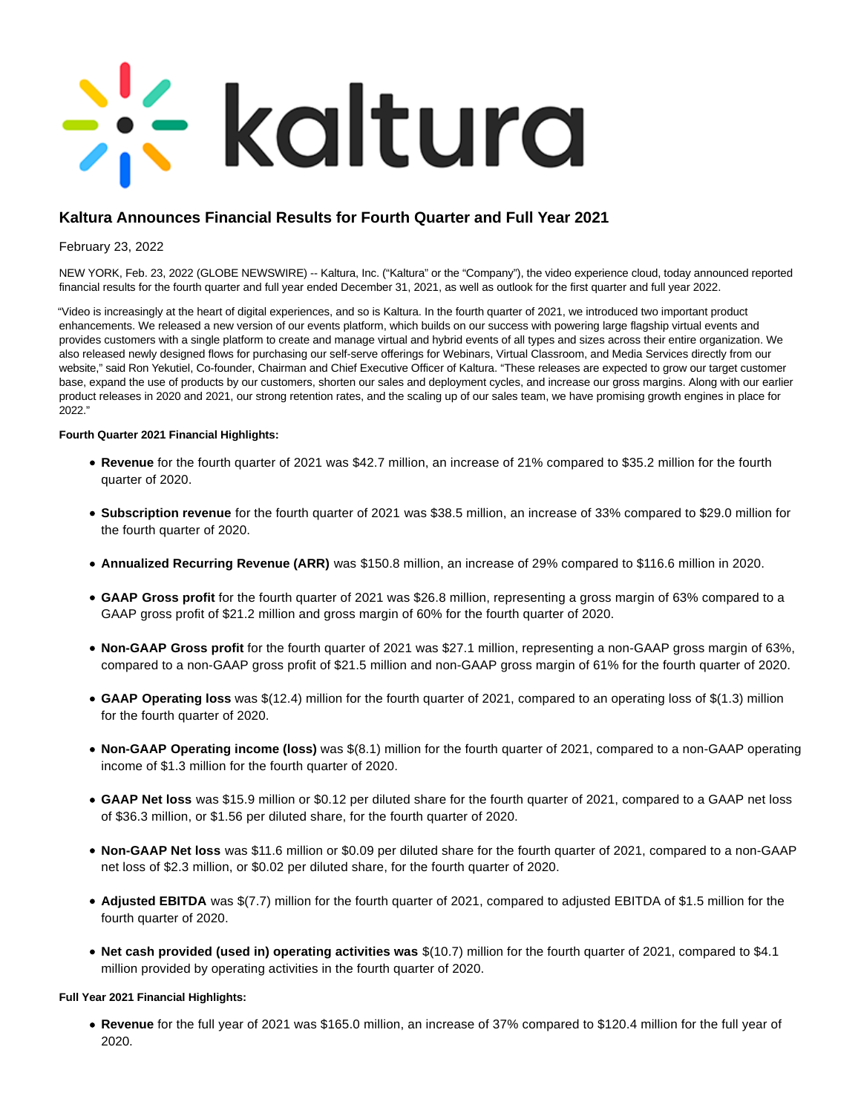# - kaltura

# **Kaltura Announces Financial Results for Fourth Quarter and Full Year 2021**

February 23, 2022

NEW YORK, Feb. 23, 2022 (GLOBE NEWSWIRE) -- Kaltura, Inc. ("Kaltura" or the "Company"), the video experience cloud, today announced reported financial results for the fourth quarter and full year ended December 31, 2021, as well as outlook for the first quarter and full year 2022.

"Video is increasingly at the heart of digital experiences, and so is Kaltura. In the fourth quarter of 2021, we introduced two important product enhancements. We released a new version of our events platform, which builds on our success with powering large flagship virtual events and provides customers with a single platform to create and manage virtual and hybrid events of all types and sizes across their entire organization. We also released newly designed flows for purchasing our self-serve offerings for Webinars, Virtual Classroom, and Media Services directly from our website," said Ron Yekutiel, Co-founder, Chairman and Chief Executive Officer of Kaltura. "These releases are expected to grow our target customer base, expand the use of products by our customers, shorten our sales and deployment cycles, and increase our gross margins. Along with our earlier product releases in 2020 and 2021, our strong retention rates, and the scaling up of our sales team, we have promising growth engines in place for 2022."

## **Fourth Quarter 2021 Financial Highlights:**

- **Revenue** for the fourth quarter of 2021 was \$42.7 million, an increase of 21% compared to \$35.2 million for the fourth quarter of 2020.
- **Subscription revenue** for the fourth quarter of 2021 was \$38.5 million, an increase of 33% compared to \$29.0 million for the fourth quarter of 2020.
- **Annualized Recurring Revenue (ARR)** was \$150.8 million, an increase of 29% compared to \$116.6 million in 2020.
- **GAAP Gross profit** for the fourth quarter of 2021 was \$26.8 million, representing a gross margin of 63% compared to a GAAP gross profit of \$21.2 million and gross margin of 60% for the fourth quarter of 2020.
- **Non-GAAP Gross profit** for the fourth quarter of 2021 was \$27.1 million, representing a non-GAAP gross margin of 63%, compared to a non-GAAP gross profit of \$21.5 million and non-GAAP gross margin of 61% for the fourth quarter of 2020.
- **GAAP Operating loss** was \$(12.4) million for the fourth quarter of 2021, compared to an operating loss of \$(1.3) million for the fourth quarter of 2020.
- **Non-GAAP Operating income (loss)** was \$(8.1) million for the fourth quarter of 2021, compared to a non-GAAP operating income of \$1.3 million for the fourth quarter of 2020.
- **GAAP Net loss** was \$15.9 million or \$0.12 per diluted share for the fourth quarter of 2021, compared to a GAAP net loss of \$36.3 million, or \$1.56 per diluted share, for the fourth quarter of 2020.
- **Non-GAAP Net loss** was \$11.6 million or \$0.09 per diluted share for the fourth quarter of 2021, compared to a non-GAAP net loss of \$2.3 million, or \$0.02 per diluted share, for the fourth quarter of 2020.
- **Adjusted EBITDA** was \$(7.7) million for the fourth quarter of 2021, compared to adjusted EBITDA of \$1.5 million for the fourth quarter of 2020.
- Net cash provided (used in) operating activities was \$(10.7) million for the fourth quarter of 2021, compared to \$4.1 million provided by operating activities in the fourth quarter of 2020.

## **Full Year 2021 Financial Highlights:**

**Revenue** for the full year of 2021 was \$165.0 million, an increase of 37% compared to \$120.4 million for the full year of 2020.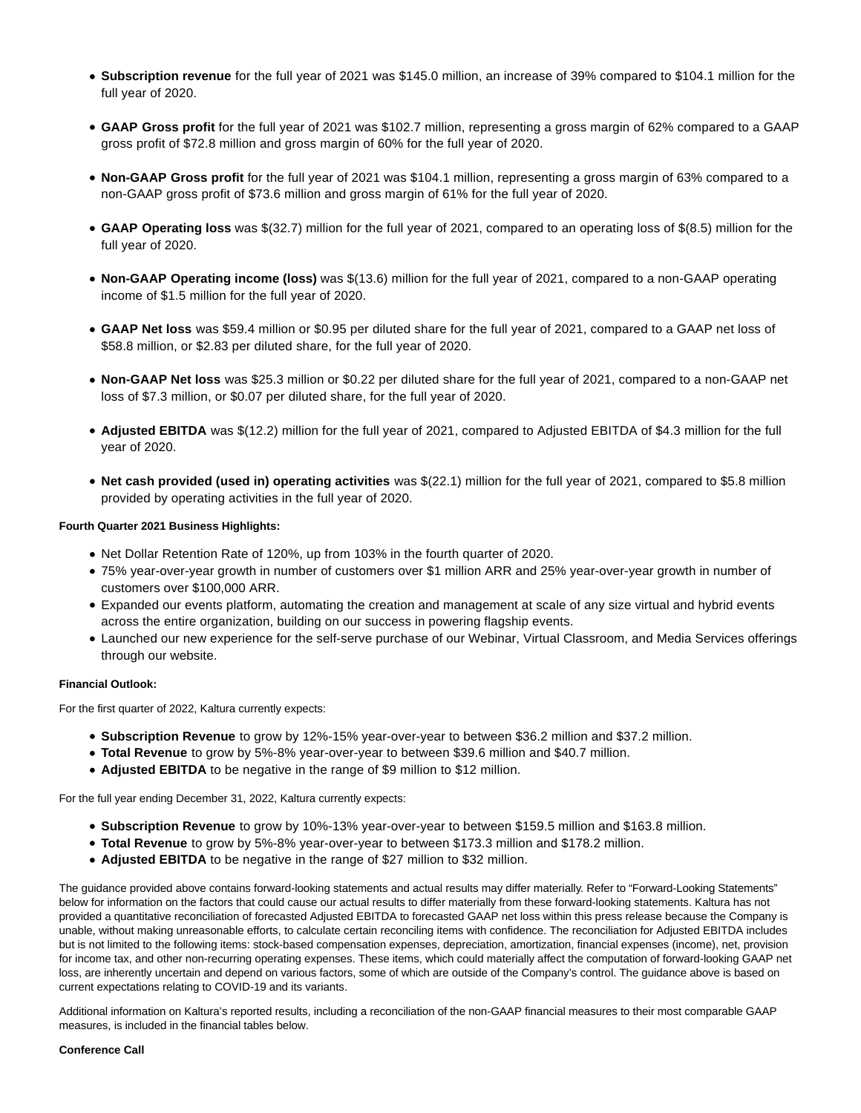- **Subscription revenue** for the full year of 2021 was \$145.0 million, an increase of 39% compared to \$104.1 million for the full year of 2020.
- **GAAP Gross profit** for the full year of 2021 was \$102.7 million, representing a gross margin of 62% compared to a GAAP gross profit of \$72.8 million and gross margin of 60% for the full year of 2020.
- **Non-GAAP Gross profit** for the full year of 2021 was \$104.1 million, representing a gross margin of 63% compared to a non-GAAP gross profit of \$73.6 million and gross margin of 61% for the full year of 2020.
- **GAAP Operating loss** was \$(32.7) million for the full year of 2021, compared to an operating loss of \$(8.5) million for the full year of 2020.
- **Non-GAAP Operating income (loss)** was \$(13.6) million for the full year of 2021, compared to a non-GAAP operating income of \$1.5 million for the full year of 2020.
- **GAAP Net loss** was \$59.4 million or \$0.95 per diluted share for the full year of 2021, compared to a GAAP net loss of \$58.8 million, or \$2.83 per diluted share, for the full year of 2020.
- **Non-GAAP Net loss** was \$25.3 million or \$0.22 per diluted share for the full year of 2021, compared to a non-GAAP net loss of \$7.3 million, or \$0.07 per diluted share, for the full year of 2020.
- **Adjusted EBITDA** was \$(12.2) million for the full year of 2021, compared to Adjusted EBITDA of \$4.3 million for the full year of 2020.
- **Net cash provided (used in) operating activities** was \$(22.1) million for the full year of 2021, compared to \$5.8 million provided by operating activities in the full year of 2020.

#### **Fourth Quarter 2021 Business Highlights:**

- Net Dollar Retention Rate of 120%, up from 103% in the fourth quarter of 2020.
- 75% year-over-year growth in number of customers over \$1 million ARR and 25% year-over-year growth in number of customers over \$100,000 ARR.
- Expanded our events platform, automating the creation and management at scale of any size virtual and hybrid events across the entire organization, building on our success in powering flagship events.
- Launched our new experience for the self-serve purchase of our Webinar, Virtual Classroom, and Media Services offerings through our website.

#### **Financial Outlook:**

For the first quarter of 2022, Kaltura currently expects:

- **Subscription Revenue** to grow by 12%-15% year-over-year to between \$36.2 million and \$37.2 million.
- **Total Revenue** to grow by 5%-8% year-over-year to between \$39.6 million and \$40.7 million.
- **Adjusted EBITDA** to be negative in the range of \$9 million to \$12 million.

For the full year ending December 31, 2022, Kaltura currently expects:

- **Subscription Revenue** to grow by 10%-13% year-over-year to between \$159.5 million and \$163.8 million.
- **Total Revenue** to grow by 5%-8% year-over-year to between \$173.3 million and \$178.2 million.
- **Adjusted EBITDA** to be negative in the range of \$27 million to \$32 million.

The guidance provided above contains forward-looking statements and actual results may differ materially. Refer to "Forward-Looking Statements" below for information on the factors that could cause our actual results to differ materially from these forward-looking statements. Kaltura has not provided a quantitative reconciliation of forecasted Adjusted EBITDA to forecasted GAAP net loss within this press release because the Company is unable, without making unreasonable efforts, to calculate certain reconciling items with confidence. The reconciliation for Adjusted EBITDA includes but is not limited to the following items: stock-based compensation expenses, depreciation, amortization, financial expenses (income), net, provision for income tax, and other non-recurring operating expenses. These items, which could materially affect the computation of forward-looking GAAP net loss, are inherently uncertain and depend on various factors, some of which are outside of the Company's control. The guidance above is based on current expectations relating to COVID-19 and its variants.

Additional information on Kaltura's reported results, including a reconciliation of the non-GAAP financial measures to their most comparable GAAP measures, is included in the financial tables below.

#### **Conference Call**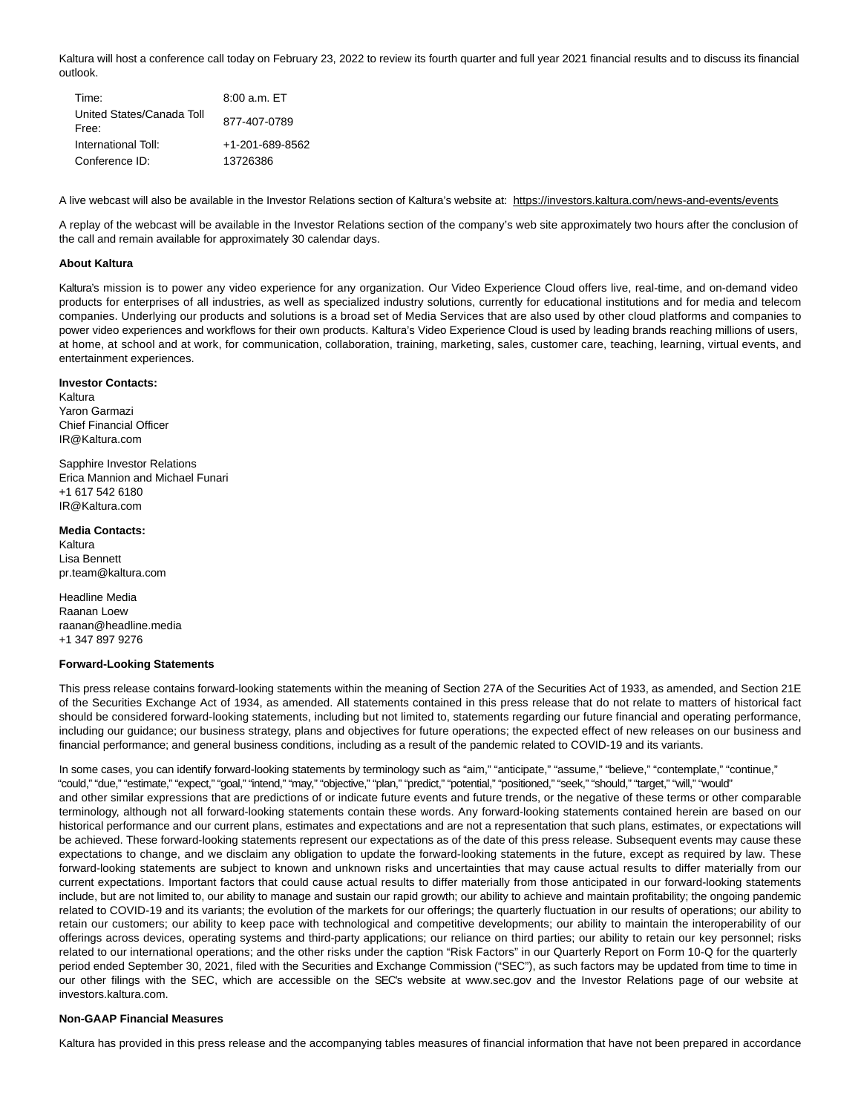Kaltura will host a conference call today on February 23, 2022 to review its fourth quarter and full year 2021 financial results and to discuss its financial outlook.

| Time:                              | $8:00a.m. E$ T  |
|------------------------------------|-----------------|
| United States/Canada Toll<br>Free: | 877-407-0789    |
| International Toll:                | +1-201-689-8562 |
| Conference ID:                     | 13726386        |

A live webcast will also be available in the Investor Relations section of Kaltura's website at: https://investors.kaltura.com/news-and-events/events

A replay of the webcast will be available in the Investor Relations section of the company's web site approximately two hours after the conclusion of the call and remain available for approximately 30 calendar days.

#### **About Kaltura**

Kaltura's mission is to power any video experience for any organization. Our Video Experience Cloud offers live, real-time, and on-demand video products for enterprises of all industries, as well as specialized industry solutions, currently for educational institutions and for media and telecom companies. Underlying our products and solutions is a broad set of Media Services that are also used by other cloud platforms and companies to power video experiences and workflows for their own products. Kaltura's Video Experience Cloud is used by leading brands reaching millions of users, at home, at school and at work, for communication, collaboration, training, marketing, sales, customer care, teaching, learning, virtual events, and entertainment experiences.

#### **Investor Contacts:**

Kaltura Yaron Garmazi Chief Financial Officer IR@Kaltura.com

Sapphire Investor Relations Erica Mannion and Michael Funari +1 617 542 6180 IR@Kaltura.com

#### **Media Contacts:**

Kaltura Lisa Bennett pr.team@kaltura.com

Headline Media Raanan Loew raanan@headline.media +1 347 897 9276

#### **Forward-Looking Statements**

This press release contains forward-looking statements within the meaning of Section 27A of the Securities Act of 1933, as amended, and Section 21E of the Securities Exchange Act of 1934, as amended. All statements contained in this press release that do not relate to matters of historical fact should be considered forward-looking statements, including but not limited to, statements regarding our future financial and operating performance, including our guidance; our business strategy, plans and objectives for future operations; the expected effect of new releases on our business and financial performance; and general business conditions, including as a result of the pandemic related to COVID-19 and its variants.

In some cases, you can identify forward-looking statements by terminology such as "aim," "anticipate," "assume," "believe," "contemplate," "continue," "could," "due," "estimate," "expect," "goal," "intend," "may," "objective," "plan," "predict," "potential," "positioned," "seek," "should," "target," "will," "would" and other similar expressions that are predictions of or indicate future events and future trends, or the negative of these terms or other comparable terminology, although not all forward-looking statements contain these words. Any forward-looking statements contained herein are based on our historical performance and our current plans, estimates and expectations and are not a representation that such plans, estimates, or expectations will be achieved. These forward-looking statements represent our expectations as of the date of this press release. Subsequent events may cause these expectations to change, and we disclaim any obligation to update the forward-looking statements in the future, except as required by law. These forward-looking statements are subject to known and unknown risks and uncertainties that may cause actual results to differ materially from our current expectations. Important factors that could cause actual results to differ materially from those anticipated in our forward-looking statements include, but are not limited to, our ability to manage and sustain our rapid growth; our ability to achieve and maintain profitability; the ongoing pandemic related to COVID-19 and its variants; the evolution of the markets for our offerings; the quarterly fluctuation in our results of operations; our ability to retain our customers; our ability to keep pace with technological and competitive developments; our ability to maintain the interoperability of our offerings across devices, operating systems and third-party applications; our reliance on third parties; our ability to retain our key personnel; risks related to our international operations; and the other risks under the caption "Risk Factors" in our Quarterly Report on Form 10-Q for the quarterly period ended September 30, 2021, filed with the Securities and Exchange Commission ("SEC"), as such factors may be updated from time to time in our other filings with the SEC, which are accessible on the SEC's website at www.sec.gov and the Investor Relations page of our website at investors.kaltura.com.

#### **Non-GAAP Financial Measures**

Kaltura has provided in this press release and the accompanying tables measures of financial information that have not been prepared in accordance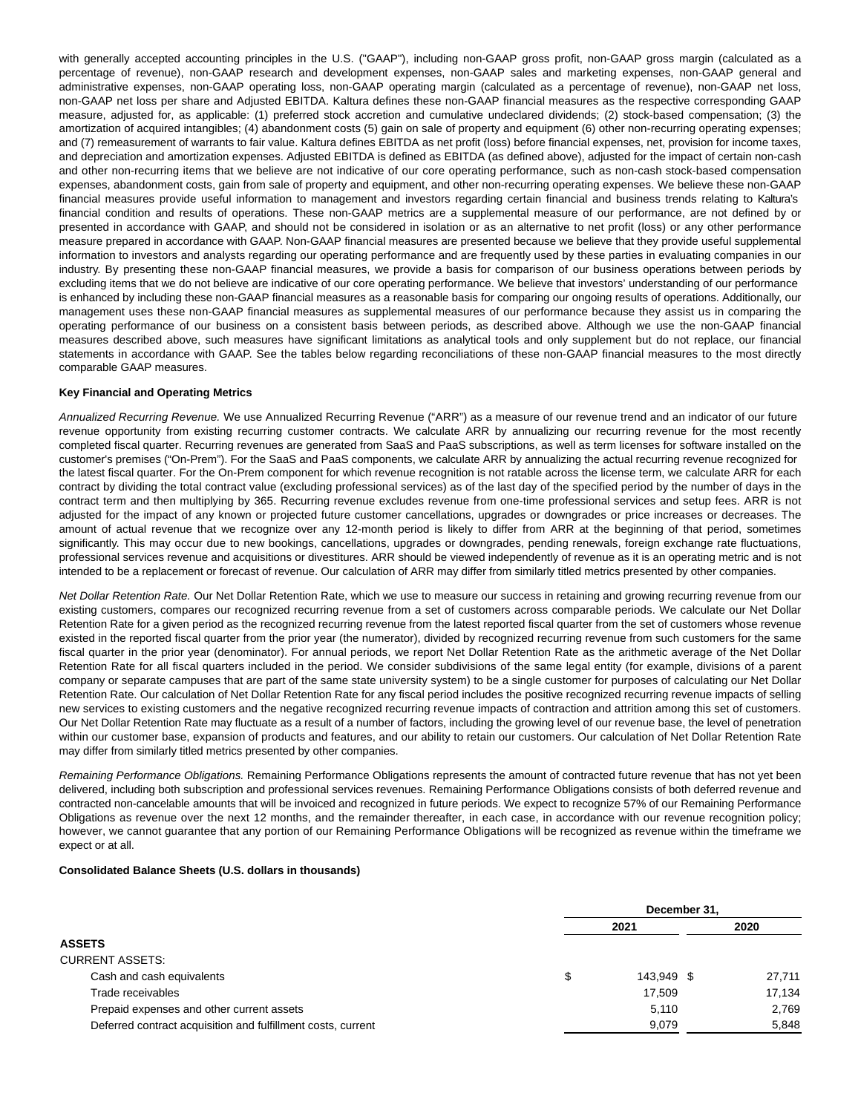with generally accepted accounting principles in the U.S. ("GAAP"), including non-GAAP gross profit, non-GAAP gross margin (calculated as a percentage of revenue), non-GAAP research and development expenses, non-GAAP sales and marketing expenses, non-GAAP general and administrative expenses, non-GAAP operating loss, non-GAAP operating margin (calculated as a percentage of revenue), non-GAAP net loss, non-GAAP net loss per share and Adjusted EBITDA. Kaltura defines these non-GAAP financial measures as the respective corresponding GAAP measure, adjusted for, as applicable: (1) preferred stock accretion and cumulative undeclared dividends; (2) stock-based compensation; (3) the amortization of acquired intangibles; (4) abandonment costs (5) gain on sale of property and equipment (6) other non-recurring operating expenses; and (7) remeasurement of warrants to fair value. Kaltura defines EBITDA as net profit (loss) before financial expenses, net, provision for income taxes, and depreciation and amortization expenses. Adjusted EBITDA is defined as EBITDA (as defined above), adjusted for the impact of certain non-cash and other non-recurring items that we believe are not indicative of our core operating performance, such as non-cash stock-based compensation expenses, abandonment costs, gain from sale of property and equipment, and other non-recurring operating expenses. We believe these non-GAAP financial measures provide useful information to management and investors regarding certain financial and business trends relating to Kaltura's financial condition and results of operations. These non-GAAP metrics are a supplemental measure of our performance, are not defined by or presented in accordance with GAAP, and should not be considered in isolation or as an alternative to net profit (loss) or any other performance measure prepared in accordance with GAAP. Non-GAAP financial measures are presented because we believe that they provide useful supplemental information to investors and analysts regarding our operating performance and are frequently used by these parties in evaluating companies in our industry. By presenting these non-GAAP financial measures, we provide a basis for comparison of our business operations between periods by excluding items that we do not believe are indicative of our core operating performance. We believe that investors' understanding of our performance is enhanced by including these non-GAAP financial measures as a reasonable basis for comparing our ongoing results of operations. Additionally, our management uses these non-GAAP financial measures as supplemental measures of our performance because they assist us in comparing the operating performance of our business on a consistent basis between periods, as described above. Although we use the non-GAAP financial measures described above, such measures have significant limitations as analytical tools and only supplement but do not replace, our financial statements in accordance with GAAP. See the tables below regarding reconciliations of these non-GAAP financial measures to the most directly comparable GAAP measures.

#### **Key Financial and Operating Metrics**

Annualized Recurring Revenue. We use Annualized Recurring Revenue ("ARR") as a measure of our revenue trend and an indicator of our future revenue opportunity from existing recurring customer contracts. We calculate ARR by annualizing our recurring revenue for the most recently completed fiscal quarter. Recurring revenues are generated from SaaS and PaaS subscriptions, as well as term licenses for software installed on the customer's premises ("On-Prem"). For the SaaS and PaaS components, we calculate ARR by annualizing the actual recurring revenue recognized for the latest fiscal quarter. For the On-Prem component for which revenue recognition is not ratable across the license term, we calculate ARR for each contract by dividing the total contract value (excluding professional services) as of the last day of the specified period by the number of days in the contract term and then multiplying by 365. Recurring revenue excludes revenue from one-time professional services and setup fees. ARR is not adjusted for the impact of any known or projected future customer cancellations, upgrades or downgrades or price increases or decreases. The amount of actual revenue that we recognize over any 12-month period is likely to differ from ARR at the beginning of that period, sometimes significantly. This may occur due to new bookings, cancellations, upgrades or downgrades, pending renewals, foreign exchange rate fluctuations, professional services revenue and acquisitions or divestitures. ARR should be viewed independently of revenue as it is an operating metric and is not intended to be a replacement or forecast of revenue. Our calculation of ARR may differ from similarly titled metrics presented by other companies.

Net Dollar Retention Rate. Our Net Dollar Retention Rate, which we use to measure our success in retaining and growing recurring revenue from our existing customers, compares our recognized recurring revenue from a set of customers across comparable periods. We calculate our Net Dollar Retention Rate for a given period as the recognized recurring revenue from the latest reported fiscal quarter from the set of customers whose revenue existed in the reported fiscal quarter from the prior year (the numerator), divided by recognized recurring revenue from such customers for the same fiscal quarter in the prior year (denominator). For annual periods, we report Net Dollar Retention Rate as the arithmetic average of the Net Dollar Retention Rate for all fiscal quarters included in the period. We consider subdivisions of the same legal entity (for example, divisions of a parent company or separate campuses that are part of the same state university system) to be a single customer for purposes of calculating our Net Dollar Retention Rate. Our calculation of Net Dollar Retention Rate for any fiscal period includes the positive recognized recurring revenue impacts of selling new services to existing customers and the negative recognized recurring revenue impacts of contraction and attrition among this set of customers. Our Net Dollar Retention Rate may fluctuate as a result of a number of factors, including the growing level of our revenue base, the level of penetration within our customer base, expansion of products and features, and our ability to retain our customers. Our calculation of Net Dollar Retention Rate may differ from similarly titled metrics presented by other companies.

Remaining Performance Obligations. Remaining Performance Obligations represents the amount of contracted future revenue that has not yet been delivered, including both subscription and professional services revenues. Remaining Performance Obligations consists of both deferred revenue and contracted non-cancelable amounts that will be invoiced and recognized in future periods. We expect to recognize 57% of our Remaining Performance Obligations as revenue over the next 12 months, and the remainder thereafter, in each case, in accordance with our revenue recognition policy; however, we cannot guarantee that any portion of our Remaining Performance Obligations will be recognized as revenue within the timeframe we expect or at all.

#### **Consolidated Balance Sheets (U.S. dollars in thousands)**

|                                                              |     | December 31, |  |        |  |  |  |  |  |
|--------------------------------------------------------------|-----|--------------|--|--------|--|--|--|--|--|
|                                                              |     | 2021         |  |        |  |  |  |  |  |
| <b>ASSETS</b>                                                |     |              |  |        |  |  |  |  |  |
| <b>CURRENT ASSETS:</b>                                       |     |              |  |        |  |  |  |  |  |
| Cash and cash equivalents                                    | \$. | 143.949 \$   |  | 27,711 |  |  |  |  |  |
| Trade receivables                                            |     | 17.509       |  | 17.134 |  |  |  |  |  |
| Prepaid expenses and other current assets                    |     | 5.110        |  | 2.769  |  |  |  |  |  |
| Deferred contract acquisition and fulfillment costs, current |     | 9,079        |  | 5,848  |  |  |  |  |  |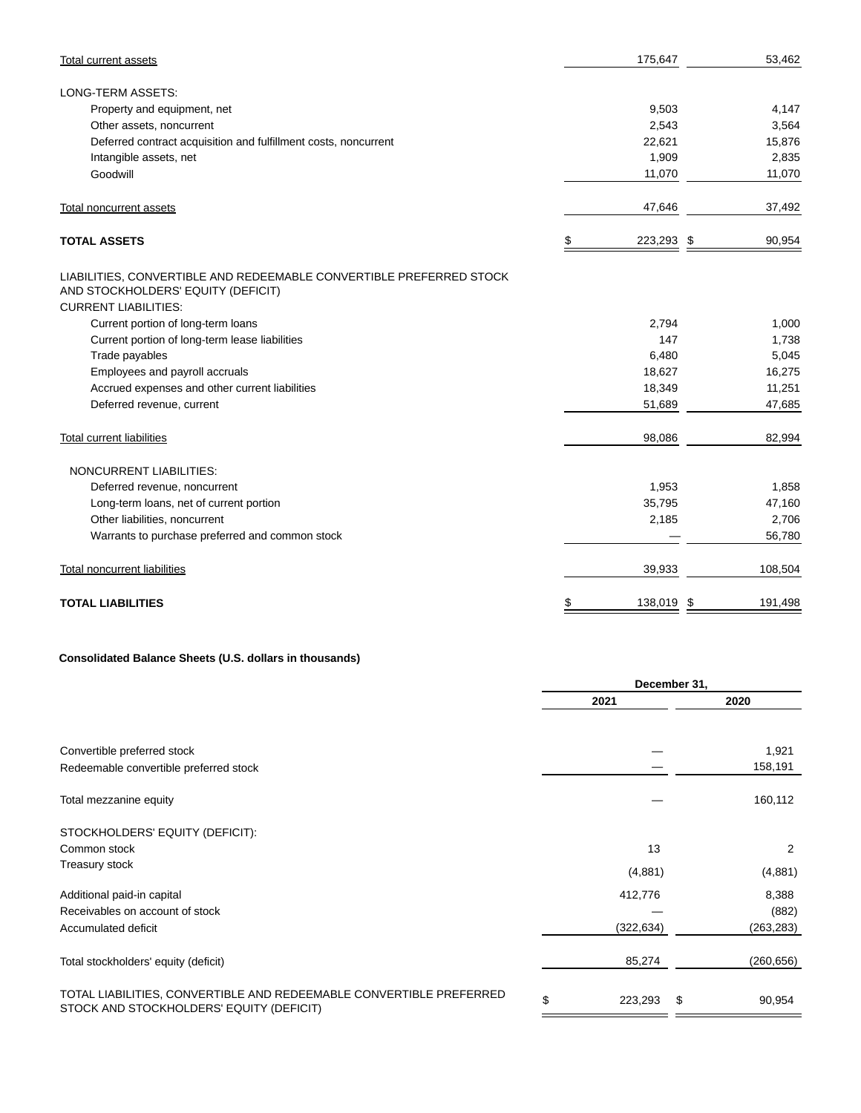| <b>Total current assets</b>                                                                                                              | 175,647              | 53,462  |
|------------------------------------------------------------------------------------------------------------------------------------------|----------------------|---------|
| LONG-TERM ASSETS:                                                                                                                        |                      |         |
| Property and equipment, net                                                                                                              | 9,503                | 4,147   |
| Other assets, noncurrent                                                                                                                 | 2,543                | 3,564   |
| Deferred contract acquisition and fulfillment costs, noncurrent                                                                          | 22,621               | 15,876  |
| Intangible assets, net                                                                                                                   | 1,909                | 2,835   |
| Goodwill                                                                                                                                 | 11,070               | 11,070  |
| <b>Total noncurrent assets</b>                                                                                                           | 47,646               | 37,492  |
| <b>TOTAL ASSETS</b>                                                                                                                      | 223,293 \$           | 90,954  |
| LIABILITIES, CONVERTIBLE AND REDEEMABLE CONVERTIBLE PREFERRED STOCK<br>AND STOCKHOLDERS' EQUITY (DEFICIT)<br><b>CURRENT LIABILITIES:</b> |                      |         |
| Current portion of long-term loans                                                                                                       | 2,794                | 1,000   |
| Current portion of long-term lease liabilities                                                                                           | 147                  | 1,738   |
| Trade payables                                                                                                                           | 6,480                | 5,045   |
| Employees and payroll accruals                                                                                                           | 18,627               | 16,275  |
| Accrued expenses and other current liabilities                                                                                           | 18,349               | 11,251  |
| Deferred revenue, current                                                                                                                | 51,689               | 47,685  |
| <b>Total current liabilities</b>                                                                                                         | 98,086               | 82,994  |
| NONCURRENT LIABILITIES:                                                                                                                  |                      |         |
| Deferred revenue, noncurrent                                                                                                             | 1,953                | 1,858   |
| Long-term loans, net of current portion                                                                                                  | 35,795               | 47,160  |
| Other liabilities, noncurrent                                                                                                            | 2,185                | 2,706   |
| Warrants to purchase preferred and common stock                                                                                          |                      | 56,780  |
| <b>Total noncurrent liabilities</b>                                                                                                      | 39,933               | 108,504 |
| <b>TOTAL LIABILITIES</b>                                                                                                                 | \$<br>138,019<br>-\$ | 191,498 |

# **Consolidated Balance Sheets (U.S. dollars in thousands)**

|                                                                                                                 |               | December 31, |            |  |  |
|-----------------------------------------------------------------------------------------------------------------|---------------|--------------|------------|--|--|
|                                                                                                                 | 2021          |              | 2020       |  |  |
|                                                                                                                 |               |              |            |  |  |
| Convertible preferred stock                                                                                     |               |              | 1,921      |  |  |
| Redeemable convertible preferred stock                                                                          |               |              | 158,191    |  |  |
| Total mezzanine equity                                                                                          |               |              | 160,112    |  |  |
| STOCKHOLDERS' EQUITY (DEFICIT):                                                                                 |               |              |            |  |  |
| Common stock                                                                                                    | 13            |              | 2          |  |  |
| Treasury stock                                                                                                  | (4,881)       |              | (4,881)    |  |  |
| Additional paid-in capital                                                                                      | 412,776       |              | 8,388      |  |  |
| Receivables on account of stock                                                                                 |               |              | (882)      |  |  |
| Accumulated deficit                                                                                             | (322, 634)    |              | (263, 283) |  |  |
| Total stockholders' equity (deficit)                                                                            | 85,274        |              | (260, 656) |  |  |
| TOTAL LIABILITIES, CONVERTIBLE AND REDEEMABLE CONVERTIBLE PREFERRED<br>STOCK AND STOCKHOLDERS' EQUITY (DEFICIT) | \$<br>223,293 | \$           | 90,954     |  |  |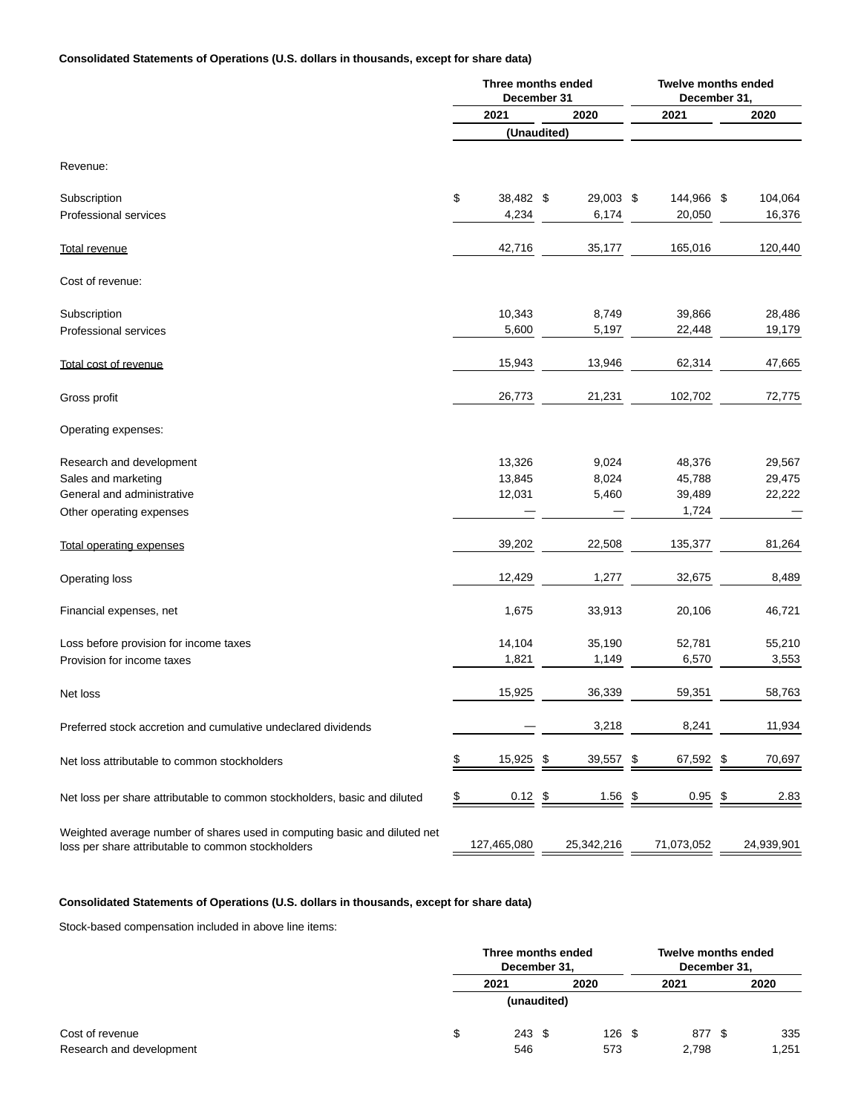## **Consolidated Statements of Operations (U.S. dollars in thousands, except for share data)**

|                                                                                                                                 |               | Three months ended<br>December 31 |              | <b>Twelve months ended</b><br>December 31, |            |
|---------------------------------------------------------------------------------------------------------------------------------|---------------|-----------------------------------|--------------|--------------------------------------------|------------|
|                                                                                                                                 |               | 2021                              | 2020         | 2021                                       | 2020       |
|                                                                                                                                 |               | (Unaudited)                       |              |                                            |            |
| Revenue:                                                                                                                        |               |                                   |              |                                            |            |
| Subscription                                                                                                                    | \$            | 38,482 \$                         | 29,003 \$    | 144,966 \$                                 | 104,064    |
| Professional services                                                                                                           |               | 4,234                             | 6,174        | 20,050                                     | 16,376     |
| Total revenue                                                                                                                   |               | 42,716                            | 35,177       | 165,016                                    | 120,440    |
| Cost of revenue:                                                                                                                |               |                                   |              |                                            |            |
| Subscription                                                                                                                    |               | 10,343                            | 8,749        | 39,866                                     | 28,486     |
| Professional services                                                                                                           |               | 5,600                             | 5,197        | 22,448                                     | 19,179     |
| Total cost of revenue                                                                                                           |               | 15,943                            | 13,946       | 62,314                                     | 47,665     |
| Gross profit                                                                                                                    |               | 26,773                            | 21,231       | 102,702                                    | 72,775     |
| Operating expenses:                                                                                                             |               |                                   |              |                                            |            |
| Research and development                                                                                                        |               | 13,326                            | 9,024        | 48,376                                     | 29,567     |
| Sales and marketing                                                                                                             |               | 13,845                            | 8,024        | 45,788                                     | 29,475     |
| General and administrative                                                                                                      |               | 12,031                            | 5,460        | 39,489                                     | 22,222     |
| Other operating expenses                                                                                                        |               |                                   |              | 1,724                                      |            |
| <b>Total operating expenses</b>                                                                                                 |               | 39,202                            | 22,508       | 135,377                                    | 81,264     |
| Operating loss                                                                                                                  |               | 12,429                            | 1,277        | 32,675                                     | 8,489      |
| Financial expenses, net                                                                                                         |               | 1,675                             | 33,913       | 20,106                                     | 46,721     |
| Loss before provision for income taxes                                                                                          |               | 14,104                            | 35,190       | 52,781                                     | 55,210     |
| Provision for income taxes                                                                                                      |               | 1,821                             | 1,149        | 6,570                                      | 3,553      |
| Net loss                                                                                                                        |               | 15,925                            | 36,339       | 59,351                                     | 58,763     |
| Preferred stock accretion and cumulative undeclared dividends                                                                   |               |                                   | 3,218        | 8,241                                      | 11,934     |
| Net loss attributable to common stockholders                                                                                    | \$            | 15,925                            | \$<br>39,557 | \$<br>67,592 \$                            | 70,697     |
| Net loss per share attributable to common stockholders, basic and diluted                                                       | $\frac{3}{2}$ | 0.12                              | \$<br>1.56   | \$<br>0.95                                 | \$<br>2.83 |
| Weighted average number of shares used in computing basic and diluted net<br>loss per share attributable to common stockholders |               | 127,465,080                       | 25,342,216   | 71,073,052                                 | 24,939,901 |

# **Consolidated Statements of Operations (U.S. dollars in thousands, except for share data)**

Stock-based compensation included in above line items:

|                          | Three months ended<br>December 31, |  |      | <b>Twelve months ended</b><br>December 31, |  |       |
|--------------------------|------------------------------------|--|------|--------------------------------------------|--|-------|
|                          | 2021                               |  | 2020 | 2021                                       |  | 2020  |
|                          | (unaudited)                        |  |      |                                            |  |       |
| Cost of revenue          | \$<br>$243 \text{ } $$             |  | 126S | 877 \$                                     |  | 335   |
| Research and development | 546                                |  | 573  | 2.798                                      |  | 1,251 |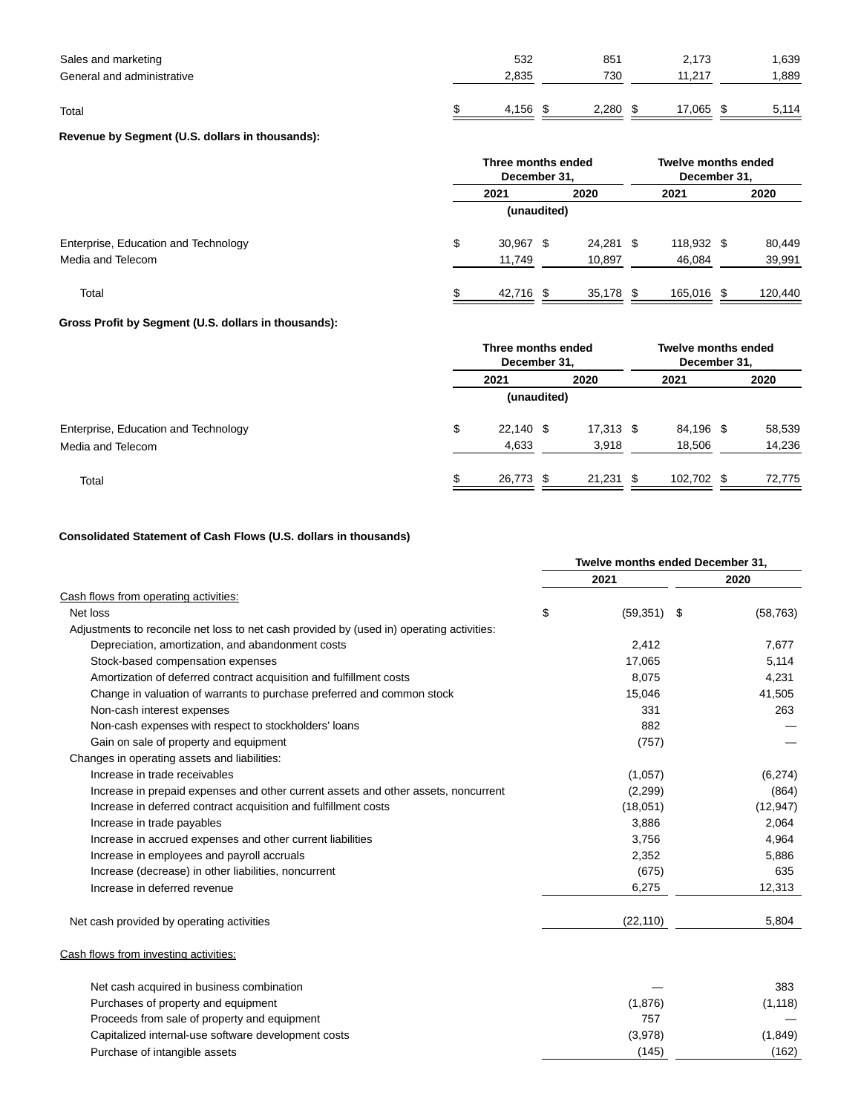| Sales and marketing<br>General and administrative | 532<br>2,835 | 851<br>730 | 2,173<br>11.217 | 1,639<br>1,889 |
|---------------------------------------------------|--------------|------------|-----------------|----------------|
| Total                                             | 4.156        | 2.280      | 17,065          | 5,114          |

# **Revenue by Segment (U.S. dollars in thousands):**

|                                      | Three months ended<br>December 31, |           |  |           |  | <b>Twelve months ended</b><br>December 31, |  |         |  |  |
|--------------------------------------|------------------------------------|-----------|--|-----------|--|--------------------------------------------|--|---------|--|--|
|                                      |                                    | 2021      |  | 2020      |  | 2021                                       |  | 2020    |  |  |
|                                      | (unaudited)                        |           |  |           |  |                                            |  |         |  |  |
| Enterprise, Education and Technology | \$                                 | 30,967 \$ |  | 24,281 \$ |  | 118,932 \$                                 |  | 80,449  |  |  |
| Media and Telecom                    |                                    | 11,749    |  | 10,897    |  | 46,084                                     |  | 39,991  |  |  |
| Total                                |                                    | 42,716 \$ |  | 35,178 \$ |  | 165,016 \$                                 |  | 120,440 |  |  |

## **Gross Profit by Segment (U.S. dollars in thousands):**

|                                      | Three months ended<br>December 31, |           |  |             |  | Twelve months ended<br>December 31, |  |        |  |  |
|--------------------------------------|------------------------------------|-----------|--|-------------|--|-------------------------------------|--|--------|--|--|
|                                      |                                    | 2021      |  | 2020        |  | 2021                                |  | 2020   |  |  |
|                                      | (unaudited)                        |           |  |             |  |                                     |  |        |  |  |
| Enterprise, Education and Technology | \$                                 | 22,140 \$ |  | $17,313$ \$ |  | 84,196 \$                           |  | 58,539 |  |  |
| Media and Telecom                    |                                    | 4,633     |  | 3,918       |  | 18,506                              |  | 14,236 |  |  |
| Total                                | \$                                 | 26,773 \$ |  | $21,231$ \$ |  | 102,702 \$                          |  | 72,775 |  |  |

# **Consolidated Statement of Cash Flows (U.S. dollars in thousands)**

|                                                                                           | Twelve months ended December 31, |           |
|-------------------------------------------------------------------------------------------|----------------------------------|-----------|
|                                                                                           | 2021                             | 2020      |
| Cash flows from operating activities:                                                     |                                  |           |
| Net loss                                                                                  | \$<br>(59, 351)<br>- \$          | (58, 763) |
| Adjustments to reconcile net loss to net cash provided by (used in) operating activities: |                                  |           |
| Depreciation, amortization, and abandonment costs                                         | 2,412                            | 7,677     |
| Stock-based compensation expenses                                                         | 17,065                           | 5,114     |
| Amortization of deferred contract acquisition and fulfillment costs                       | 8,075                            | 4,231     |
| Change in valuation of warrants to purchase preferred and common stock                    | 15,046                           | 41,505    |
| Non-cash interest expenses                                                                | 331                              | 263       |
| Non-cash expenses with respect to stockholders' loans                                     | 882                              |           |
| Gain on sale of property and equipment                                                    | (757)                            |           |
| Changes in operating assets and liabilities:                                              |                                  |           |
| Increase in trade receivables                                                             | (1,057)                          | (6,274)   |
| Increase in prepaid expenses and other current assets and other assets, noncurrent        | (2, 299)                         | (864)     |
| Increase in deferred contract acquisition and fulfillment costs                           | (18,051)                         | (12, 947) |
| Increase in trade payables                                                                | 3,886                            | 2,064     |
| Increase in accrued expenses and other current liabilities                                | 3,756                            | 4,964     |
| Increase in employees and payroll accruals                                                | 2,352                            | 5,886     |
| Increase (decrease) in other liabilities, noncurrent                                      | (675)                            | 635       |
| Increase in deferred revenue                                                              | 6,275                            | 12,313    |
| Net cash provided by operating activities                                                 | (22, 110)                        | 5,804     |
| Cash flows from investing activities:                                                     |                                  |           |
| Net cash acquired in business combination                                                 |                                  | 383       |
| Purchases of property and equipment                                                       | (1,876)                          | (1, 118)  |
| Proceeds from sale of property and equipment                                              | 757                              |           |
| Capitalized internal-use software development costs                                       | (3,978)                          | (1,849)   |
| Purchase of intangible assets                                                             | (145)                            | (162)     |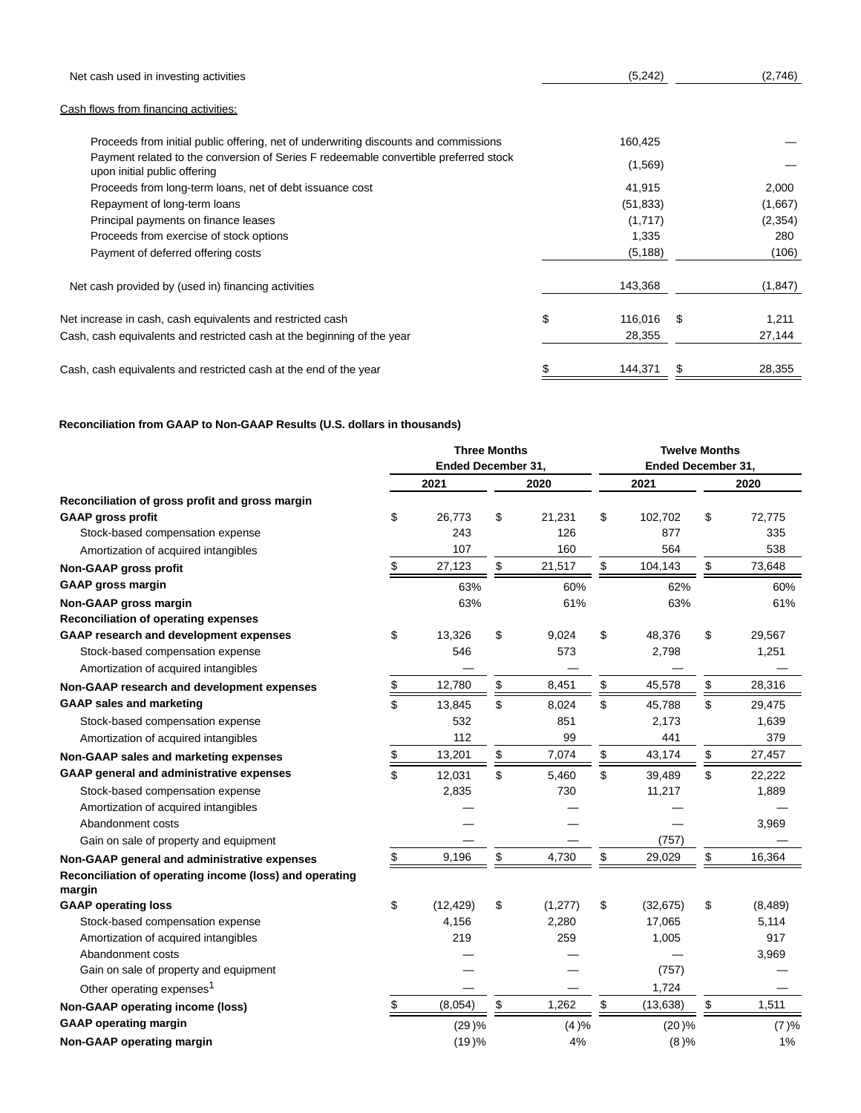| Net cash used in investing activities                                                                                | (5,242)       |     | (2,746)  |
|----------------------------------------------------------------------------------------------------------------------|---------------|-----|----------|
| Cash flows from financing activities:                                                                                |               |     |          |
| Proceeds from initial public offering, net of underwriting discounts and commissions                                 | 160,425       |     |          |
| Payment related to the conversion of Series F redeemable convertible preferred stock<br>upon initial public offering | (1,569)       |     |          |
| Proceeds from long-term loans, net of debt issuance cost                                                             | 41,915        |     | 2,000    |
| Repayment of long-term loans                                                                                         | (51, 833)     |     | (1,667)  |
| Principal payments on finance leases                                                                                 | (1,717)       |     | (2,354)  |
| Proceeds from exercise of stock options                                                                              | 1,335         |     | 280      |
| Payment of deferred offering costs                                                                                   | (5, 188)      |     | (106)    |
| Net cash provided by (used in) financing activities                                                                  | 143,368       |     | (1, 847) |
| Net increase in cash, cash equivalents and restricted cash                                                           | \$<br>116,016 | \$. | 1,211    |
| Cash, cash equivalents and restricted cash at the beginning of the year                                              | 28,355        |     | 27,144   |
| Cash, cash equivalents and restricted cash at the end of the year                                                    | 144,371       |     | 28,355   |

## **Reconciliation from GAAP to Non-GAAP Results (U.S. dollars in thousands)**

|                                                         |               | <b>Three Months</b>       |               |          | <b>Twelve Months</b> |                           |          |  |
|---------------------------------------------------------|---------------|---------------------------|---------------|----------|----------------------|---------------------------|----------|--|
|                                                         |               | <b>Ended December 31,</b> |               |          |                      | <b>Ended December 31,</b> |          |  |
|                                                         |               | 2021                      |               | 2020     | 2021                 |                           | 2020     |  |
| Reconciliation of gross profit and gross margin         |               |                           |               |          |                      |                           |          |  |
| <b>GAAP gross profit</b>                                | \$            | 26,773                    | \$            | 21,231   | \$<br>102,702        | \$                        | 72,775   |  |
| Stock-based compensation expense                        |               | 243                       |               | 126      | 877                  |                           | 335      |  |
| Amortization of acquired intangibles                    |               | 107                       |               | 160      | 564                  |                           | 538      |  |
| Non-GAAP gross profit                                   | \$            | 27,123                    | \$            | 21,517   | \$<br>104,143        | \$                        | 73,648   |  |
| <b>GAAP gross margin</b>                                |               | 63%                       |               | 60%      | 62%                  |                           | 60%      |  |
| Non-GAAP gross margin                                   |               | 63%                       |               | 61%      | 63%                  |                           | 61%      |  |
| <b>Reconciliation of operating expenses</b>             |               |                           |               |          |                      |                           |          |  |
| <b>GAAP research and development expenses</b>           | \$            | 13,326                    | \$            | 9,024    | \$<br>48,376         | \$                        | 29,567   |  |
| Stock-based compensation expense                        |               | 546                       |               | 573      | 2,798                |                           | 1,251    |  |
| Amortization of acquired intangibles                    |               |                           |               |          |                      |                           |          |  |
| Non-GAAP research and development expenses              | \$            | 12,780                    | \$            | 8,451    | \$<br>45,578         | \$                        | 28,316   |  |
| <b>GAAP sales and marketing</b>                         | \$            | 13,845                    | \$            | 8,024    | \$<br>45,788         | \$                        | 29,475   |  |
| Stock-based compensation expense                        |               | 532                       |               | 851      | 2,173                |                           | 1,639    |  |
| Amortization of acquired intangibles                    |               | 112                       |               | 99       | 441                  |                           | 379      |  |
| Non-GAAP sales and marketing expenses                   | $\frac{1}{2}$ | 13,201                    | $\frac{1}{2}$ | 7,074    | \$<br>43,174         | \$                        | 27,457   |  |
| GAAP general and administrative expenses                | \$            | 12,031                    | \$            | 5,460    | \$<br>39,489         | \$                        | 22,222   |  |
| Stock-based compensation expense                        |               | 2,835                     |               | 730      | 11,217               |                           | 1,889    |  |
| Amortization of acquired intangibles                    |               |                           |               |          |                      |                           |          |  |
| Abandonment costs                                       |               |                           |               |          |                      |                           | 3,969    |  |
| Gain on sale of property and equipment                  |               |                           |               |          | (757)                |                           |          |  |
| Non-GAAP general and administrative expenses            | \$            | 9,196                     | \$            | 4,730    | \$<br>29,029         | \$                        | 16,364   |  |
| Reconciliation of operating income (loss) and operating |               |                           |               |          |                      |                           |          |  |
| margin                                                  |               |                           |               |          |                      |                           |          |  |
| <b>GAAP operating loss</b>                              | \$            | (12, 429)                 | \$            | (1, 277) | \$<br>(32, 675)      | \$                        | (8, 489) |  |
| Stock-based compensation expense                        |               | 4,156                     |               | 2,280    | 17,065               |                           | 5,114    |  |
| Amortization of acquired intangibles                    |               | 219                       |               | 259      | 1,005                |                           | 917      |  |
| Abandonment costs                                       |               |                           |               |          |                      |                           | 3,969    |  |
| Gain on sale of property and equipment                  |               |                           |               |          | (757)                |                           |          |  |
| Other operating expenses <sup>1</sup>                   |               |                           |               |          | 1,724                |                           |          |  |
| Non-GAAP operating income (loss)                        | \$            | (8,054)                   | \$            | 1,262    | \$<br>(13, 638)      | \$                        | 1,511    |  |
| <b>GAAP operating margin</b>                            |               | (29)%                     |               | (4)%     | (20)%                |                           | (7)%     |  |
| Non-GAAP operating margin                               |               | (19)%                     |               | 4%       | (8)%                 |                           | 1%       |  |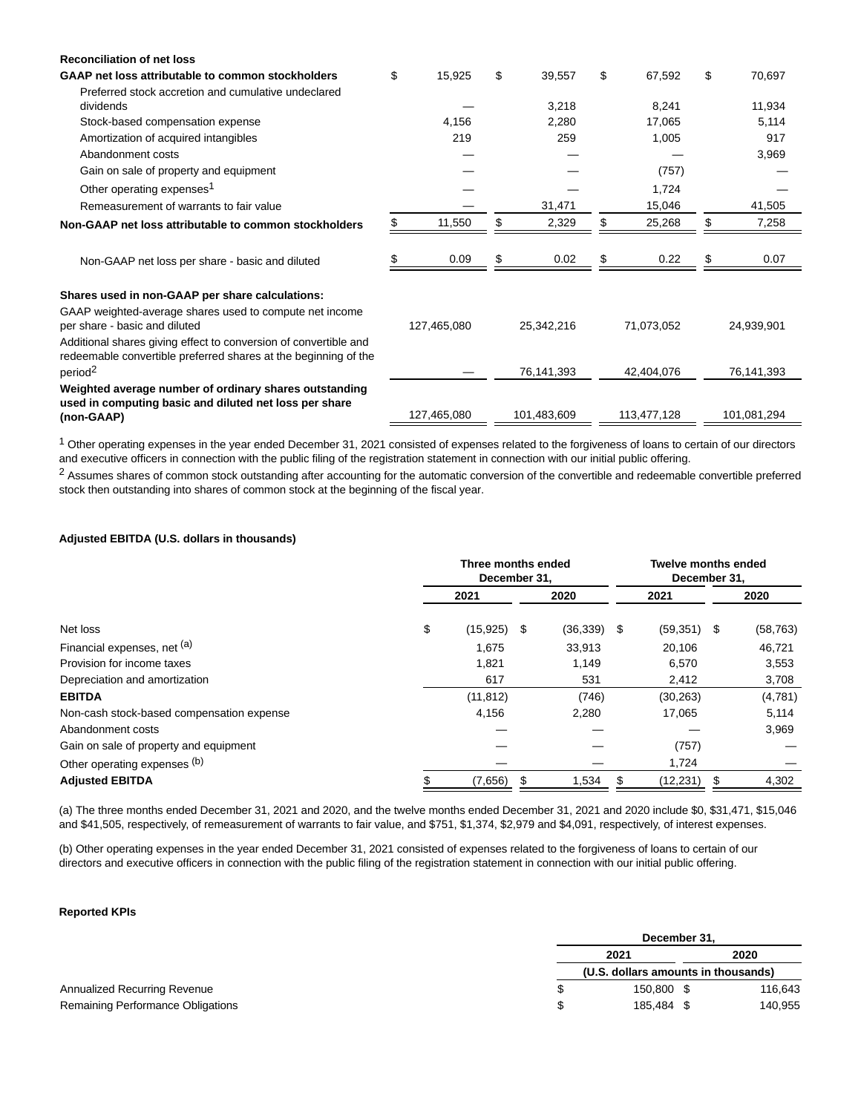| <b>Reconciliation of net loss</b>                                                                                                   |             |             |            |             |            |             |              |
|-------------------------------------------------------------------------------------------------------------------------------------|-------------|-------------|------------|-------------|------------|-------------|--------------|
| GAAP net loss attributable to common stockholders                                                                                   | \$          | 15,925      | \$         | 39,557      | \$         | 67,592      | \$<br>70,697 |
| Preferred stock accretion and cumulative undeclared                                                                                 |             |             |            |             |            |             |              |
| dividends                                                                                                                           |             |             |            | 3,218       |            | 8,241       | 11,934       |
| Stock-based compensation expense                                                                                                    |             | 4,156       |            | 2,280       |            | 17,065      | 5,114        |
| Amortization of acquired intangibles                                                                                                |             | 219         |            | 259         |            | 1,005       | 917          |
| Abandonment costs                                                                                                                   |             |             |            |             |            |             | 3,969        |
| Gain on sale of property and equipment                                                                                              |             |             |            |             |            | (757)       |              |
| Other operating expenses <sup>1</sup>                                                                                               |             |             |            |             |            | 1,724       |              |
| Remeasurement of warrants to fair value                                                                                             |             |             |            | 31,471      |            | 15,046      | 41,505       |
| Non-GAAP net loss attributable to common stockholders                                                                               |             | 11,550      | \$         | 2,329       |            | 25,268      | \$<br>7,258  |
|                                                                                                                                     |             |             |            |             |            |             |              |
| Non-GAAP net loss per share - basic and diluted                                                                                     |             | 0.09        | S          | 0.02        |            | 0.22        | 0.07         |
| Shares used in non-GAAP per share calculations:                                                                                     |             |             |            |             |            |             |              |
| GAAP weighted-average shares used to compute net income<br>per share - basic and diluted                                            | 127.465.080 |             | 25,342,216 |             | 71,073,052 |             | 24,939,901   |
| Additional shares giving effect to conversion of convertible and<br>redeemable convertible preferred shares at the beginning of the |             |             |            |             |            |             |              |
| period <sup>2</sup>                                                                                                                 |             |             |            | 76,141,393  |            | 42,404,076  | 76,141,393   |
| Weighted average number of ordinary shares outstanding                                                                              |             |             |            |             |            |             |              |
| used in computing basic and diluted net loss per share<br>(non-GAAP)                                                                |             | 127,465,080 |            | 101,483,609 |            | 113,477,128 | 101,081,294  |

 $1$  Other operating expenses in the year ended December 31, 2021 consisted of expenses related to the forgiveness of loans to certain of our directors and executive officers in connection with the public filing of the registration statement in connection with our initial public offering.

<sup>2</sup> Assumes shares of common stock outstanding after accounting for the automatic conversion of the convertible and redeemable convertible preferred stock then outstanding into shares of common stock at the beginning of the fiscal year.

#### **Adjusted EBITDA (U.S. dollars in thousands)**

|                                           | Three months ended<br>December 31. |               |      |           | <b>Twelve months ended</b><br>December 31. |               |      |           |
|-------------------------------------------|------------------------------------|---------------|------|-----------|--------------------------------------------|---------------|------|-----------|
|                                           |                                    | 2021          | 2020 |           | 2021                                       |               | 2020 |           |
| Net loss                                  | \$                                 | $(15,925)$ \$ |      | (36, 339) | -\$                                        | $(59,351)$ \$ |      | (58, 763) |
| Financial expenses, net (a)               |                                    | 1,675         |      | 33,913    |                                            | 20,106        |      | 46,721    |
| Provision for income taxes                |                                    | 1,821         |      | 1,149     |                                            | 6,570         |      | 3,553     |
| Depreciation and amortization             |                                    | 617           |      | 531       |                                            | 2,412         |      | 3,708     |
| <b>EBITDA</b>                             |                                    | (11, 812)     |      | (746)     |                                            | (30, 263)     |      | (4,781)   |
| Non-cash stock-based compensation expense |                                    | 4,156         |      | 2,280     |                                            | 17,065        |      | 5,114     |
| Abandonment costs                         |                                    |               |      |           |                                            |               |      | 3,969     |
| Gain on sale of property and equipment    |                                    |               |      |           |                                            | (757)         |      |           |
| Other operating expenses (b)              |                                    |               |      |           |                                            | 1,724         |      |           |
| <b>Adjusted EBITDA</b>                    |                                    | (7,656)       |      | 1,534     |                                            | (12,231)      |      | 4,302     |

(a) The three months ended December 31, 2021 and 2020, and the twelve months ended December 31, 2021 and 2020 include \$0, \$31,471, \$15,046 and \$41,505, respectively, of remeasurement of warrants to fair value, and \$751, \$1,374, \$2,979 and \$4,091, respectively, of interest expenses.

(b) Other operating expenses in the year ended December 31, 2021 consisted of expenses related to the forgiveness of loans to certain of our directors and executive officers in connection with the public filing of the registration statement in connection with our initial public offering.

## **Reported KPIs**

|                                     | December 31.                        |      |         |  |  |
|-------------------------------------|-------------------------------------|------|---------|--|--|
|                                     | 2021                                | 2020 |         |  |  |
|                                     | (U.S. dollars amounts in thousands) |      |         |  |  |
| <b>Annualized Recurring Revenue</b> | 150.800                             |      | 116,643 |  |  |
| Remaining Performance Obligations   | 185.484                             |      | 140,955 |  |  |